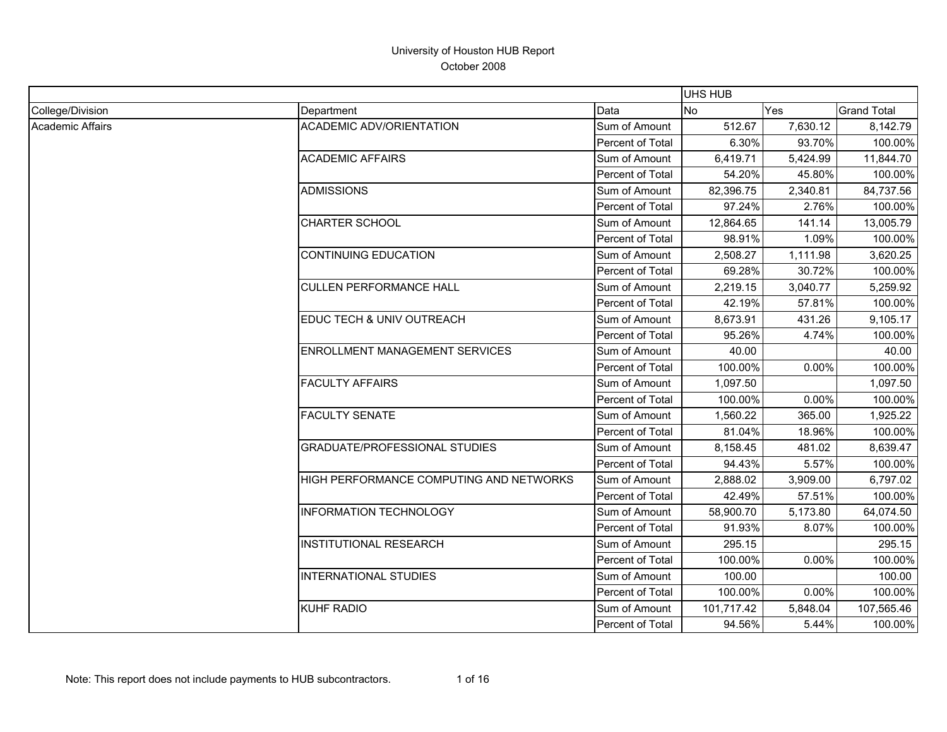|                         |                                         |                         | <b>UHS HUB</b> |          |                    |
|-------------------------|-----------------------------------------|-------------------------|----------------|----------|--------------------|
| College/Division        | Department                              | Data                    | No             | Yes      | <b>Grand Total</b> |
| <b>Academic Affairs</b> | <b>ACADEMIC ADV/ORIENTATION</b>         | Sum of Amount           | 512.67         | 7,630.12 | 8,142.79           |
|                         |                                         | Percent of Total        | 6.30%          | 93.70%   | 100.00%            |
|                         | <b>ACADEMIC AFFAIRS</b>                 | Sum of Amount           | 6,419.71       | 5,424.99 | 11,844.70          |
|                         |                                         | Percent of Total        | 54.20%         | 45.80%   | 100.00%            |
|                         | <b>ADMISSIONS</b>                       | Sum of Amount           | 82,396.75      | 2,340.81 | 84,737.56          |
|                         |                                         | Percent of Total        | 97.24%         | 2.76%    | 100.00%            |
|                         | <b>CHARTER SCHOOL</b>                   | Sum of Amount           | 12,864.65      | 141.14   | 13,005.79          |
|                         |                                         | Percent of Total        | 98.91%         | 1.09%    | 100.00%            |
|                         | <b>CONTINUING EDUCATION</b>             | Sum of Amount           | 2,508.27       | 1,111.98 | 3,620.25           |
|                         |                                         | Percent of Total        | 69.28%         | 30.72%   | 100.00%            |
|                         | <b>CULLEN PERFORMANCE HALL</b>          | Sum of Amount           | 2,219.15       | 3,040.77 | 5,259.92           |
|                         |                                         | Percent of Total        | 42.19%         | 57.81%   | 100.00%            |
|                         | EDUC TECH & UNIV OUTREACH               | Sum of Amount           | 8,673.91       | 431.26   | 9,105.17           |
|                         |                                         | <b>Percent of Total</b> | 95.26%         | 4.74%    | 100.00%            |
|                         | <b>ENROLLMENT MANAGEMENT SERVICES</b>   | Sum of Amount           | 40.00          |          | 40.00              |
|                         |                                         | Percent of Total        | 100.00%        | 0.00%    | 100.00%            |
|                         | <b>FACULTY AFFAIRS</b>                  | Sum of Amount           | 1,097.50       |          | 1,097.50           |
|                         |                                         | Percent of Total        | 100.00%        | 0.00%    | 100.00%            |
|                         | <b>FACULTY SENATE</b>                   | Sum of Amount           | 1,560.22       | 365.00   | 1,925.22           |
|                         |                                         | Percent of Total        | 81.04%         | 18.96%   | 100.00%            |
|                         | <b>GRADUATE/PROFESSIONAL STUDIES</b>    | Sum of Amount           | 8,158.45       | 481.02   | 8,639.47           |
|                         |                                         | Percent of Total        | 94.43%         | 5.57%    | 100.00%            |
|                         | HIGH PERFORMANCE COMPUTING AND NETWORKS | Sum of Amount           | 2,888.02       | 3,909.00 | 6,797.02           |
|                         |                                         | Percent of Total        | 42.49%         | 57.51%   | 100.00%            |
|                         | <b>INFORMATION TECHNOLOGY</b>           | Sum of Amount           | 58,900.70      | 5,173.80 | 64,074.50          |
|                         |                                         | Percent of Total        | 91.93%         | 8.07%    | 100.00%            |
|                         | <b>INSTITUTIONAL RESEARCH</b>           | Sum of Amount           | 295.15         |          | 295.15             |
|                         |                                         | Percent of Total        | 100.00%        | 0.00%    | 100.00%            |
|                         | <b>INTERNATIONAL STUDIES</b>            | Sum of Amount           | 100.00         |          | 100.00             |
|                         |                                         | Percent of Total        | 100.00%        | 0.00%    | 100.00%            |
|                         | <b>KUHF RADIO</b>                       | Sum of Amount           | 101,717.42     | 5,848.04 | 107,565.46         |
|                         |                                         | Percent of Total        | 94.56%         | 5.44%    | 100.00%            |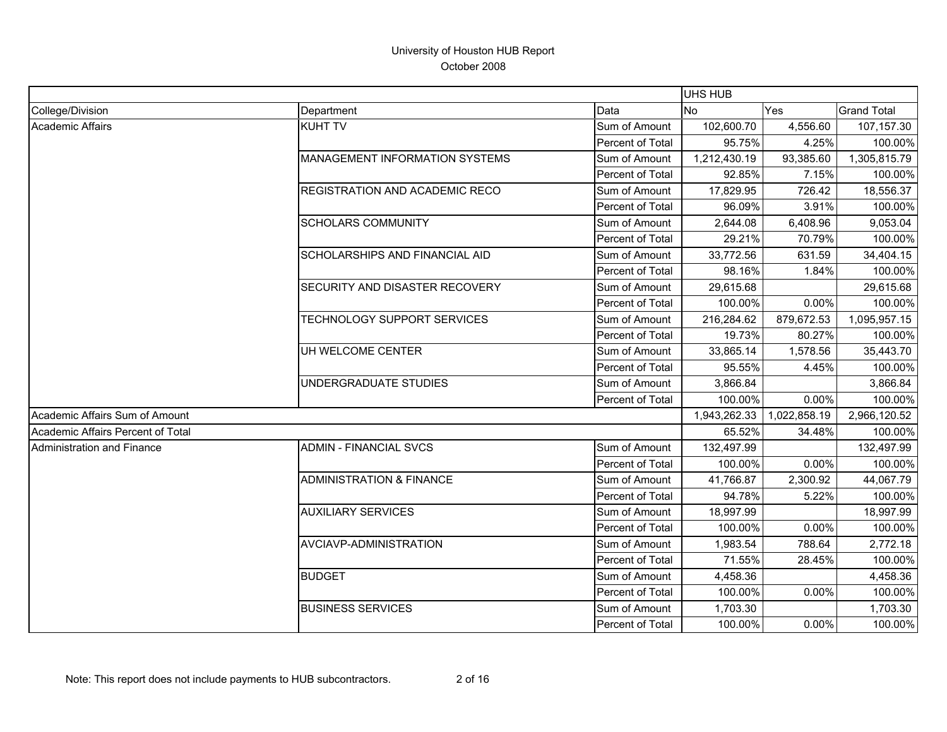|                                   |                                       |                  | <b>UHS HUB</b> |              |                    |
|-----------------------------------|---------------------------------------|------------------|----------------|--------------|--------------------|
| College/Division                  | Department                            | Data             | No             | Yes          | <b>Grand Total</b> |
| <b>Academic Affairs</b>           | <b>KUHT TV</b>                        | Sum of Amount    | 102,600.70     | 4,556.60     | 107,157.30         |
|                                   |                                       | Percent of Total | 95.75%         | 4.25%        | 100.00%            |
|                                   | <b>MANAGEMENT INFORMATION SYSTEMS</b> | Sum of Amount    | 1,212,430.19   | 93,385.60    | 1,305,815.79       |
|                                   |                                       | Percent of Total | 92.85%         | 7.15%        | 100.00%            |
|                                   | <b>REGISTRATION AND ACADEMIC RECO</b> | Sum of Amount    | 17,829.95      | 726.42       | 18,556.37          |
|                                   |                                       | Percent of Total | 96.09%         | 3.91%        | 100.00%            |
|                                   | <b>SCHOLARS COMMUNITY</b>             | Sum of Amount    | 2,644.08       | 6,408.96     | 9,053.04           |
|                                   |                                       | Percent of Total | 29.21%         | 70.79%       | 100.00%            |
|                                   | SCHOLARSHIPS AND FINANCIAL AID        | Sum of Amount    | 33,772.56      | 631.59       | 34,404.15          |
|                                   |                                       | Percent of Total | 98.16%         | 1.84%        | 100.00%            |
|                                   | <b>SECURITY AND DISASTER RECOVERY</b> | Sum of Amount    | 29,615.68      |              | 29,615.68          |
|                                   |                                       | Percent of Total | 100.00%        | 0.00%        | 100.00%            |
|                                   | TECHNOLOGY SUPPORT SERVICES           | Sum of Amount    | 216,284.62     | 879,672.53   | 1,095,957.15       |
|                                   |                                       | Percent of Total | 19.73%         | 80.27%       | 100.00%            |
|                                   | UH WELCOME CENTER                     | Sum of Amount    | 33,865.14      | 1,578.56     | 35,443.70          |
|                                   |                                       | Percent of Total | 95.55%         | 4.45%        | 100.00%            |
|                                   | UNDERGRADUATE STUDIES                 | Sum of Amount    | 3,866.84       |              | 3,866.84           |
|                                   |                                       | Percent of Total | 100.00%        | 0.00%        | 100.00%            |
| Academic Affairs Sum of Amount    |                                       |                  | 1,943,262.33   | 1,022,858.19 | 2,966,120.52       |
| Academic Affairs Percent of Total |                                       |                  | 65.52%         | 34.48%       | 100.00%            |
| Administration and Finance        | <b>ADMIN - FINANCIAL SVCS</b>         | Sum of Amount    | 132,497.99     |              | 132,497.99         |
|                                   |                                       | Percent of Total | 100.00%        | 0.00%        | 100.00%            |
|                                   | <b>ADMINISTRATION &amp; FINANCE</b>   | Sum of Amount    | 41,766.87      | 2,300.92     | 44,067.79          |
|                                   |                                       | Percent of Total | 94.78%         | 5.22%        | 100.00%            |
|                                   | <b>AUXILIARY SERVICES</b>             | Sum of Amount    | 18,997.99      |              | 18,997.99          |
|                                   |                                       | Percent of Total | 100.00%        | 0.00%        | 100.00%            |
|                                   | AVCIAVP-ADMINISTRATION                | Sum of Amount    | 1,983.54       | 788.64       | 2,772.18           |
|                                   |                                       | Percent of Total | 71.55%         | 28.45%       | 100.00%            |
|                                   | <b>BUDGET</b>                         | Sum of Amount    | 4,458.36       |              | 4,458.36           |
|                                   |                                       | Percent of Total | 100.00%        | 0.00%        | 100.00%            |
|                                   | <b>BUSINESS SERVICES</b>              | Sum of Amount    | 1,703.30       |              | 1,703.30           |
|                                   |                                       | Percent of Total | 100.00%        | 0.00%        | 100.00%            |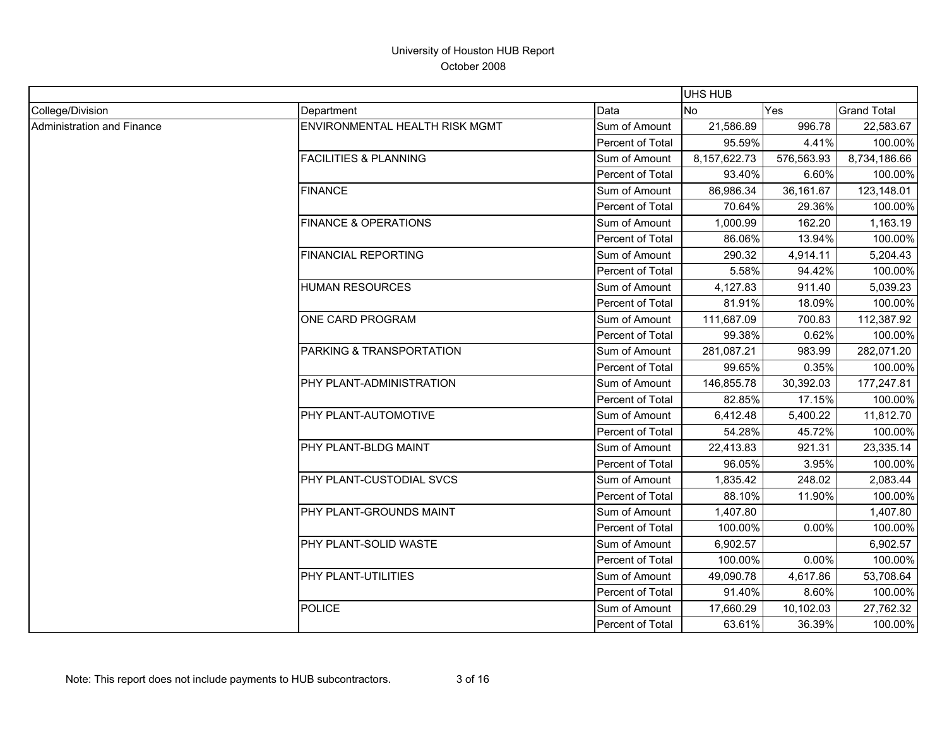|                            |                                  |                         | <b>UHS HUB</b> |            |                    |
|----------------------------|----------------------------------|-------------------------|----------------|------------|--------------------|
| College/Division           | Department                       | Data                    | <b>No</b>      | Yes        | <b>Grand Total</b> |
| Administration and Finance | ENVIRONMENTAL HEALTH RISK MGMT   | Sum of Amount           | 21,586.89      | 996.78     | 22,583.67          |
|                            |                                  | Percent of Total        | 95.59%         | 4.41%      | 100.00%            |
|                            | <b>FACILITIES &amp; PLANNING</b> | Sum of Amount           | 8,157,622.73   | 576,563.93 | 8,734,186.66       |
|                            |                                  | Percent of Total        | 93.40%         | 6.60%      | 100.00%            |
|                            | <b>FINANCE</b>                   | Sum of Amount           | 86,986.34      | 36,161.67  | 123,148.01         |
|                            |                                  | <b>Percent of Total</b> | 70.64%         | 29.36%     | 100.00%            |
|                            | <b>FINANCE &amp; OPERATIONS</b>  | Sum of Amount           | 1,000.99       | 162.20     | 1,163.19           |
|                            |                                  | Percent of Total        | 86.06%         | 13.94%     | 100.00%            |
|                            | FINANCIAL REPORTING              | Sum of Amount           | 290.32         | 4,914.11   | 5,204.43           |
|                            |                                  | Percent of Total        | 5.58%          | 94.42%     | 100.00%            |
|                            | <b>HUMAN RESOURCES</b>           | Sum of Amount           | 4,127.83       | 911.40     | 5,039.23           |
|                            |                                  | Percent of Total        | 81.91%         | 18.09%     | 100.00%            |
|                            | ONE CARD PROGRAM                 | Sum of Amount           | 111,687.09     | 700.83     | 112,387.92         |
|                            |                                  | Percent of Total        | 99.38%         | 0.62%      | 100.00%            |
|                            | PARKING & TRANSPORTATION         | Sum of Amount           | 281,087.21     | 983.99     | 282,071.20         |
|                            |                                  | Percent of Total        | 99.65%         | 0.35%      | 100.00%            |
|                            | PHY PLANT-ADMINISTRATION         | Sum of Amount           | 146,855.78     | 30,392.03  | 177,247.81         |
|                            |                                  | Percent of Total        | 82.85%         | 17.15%     | 100.00%            |
|                            | PHY PLANT-AUTOMOTIVE             | Sum of Amount           | 6,412.48       | 5,400.22   | 11,812.70          |
|                            |                                  | Percent of Total        | 54.28%         | 45.72%     | 100.00%            |
|                            | PHY PLANT-BLDG MAINT             | Sum of Amount           | 22,413.83      | 921.31     | 23,335.14          |
|                            |                                  | Percent of Total        | 96.05%         | 3.95%      | 100.00%            |
|                            | PHY PLANT-CUSTODIAL SVCS         | Sum of Amount           | 1,835.42       | 248.02     | 2,083.44           |
|                            |                                  | Percent of Total        | 88.10%         | 11.90%     | 100.00%            |
|                            | PHY PLANT-GROUNDS MAINT          | Sum of Amount           | 1,407.80       |            | 1,407.80           |
|                            |                                  | Percent of Total        | 100.00%        | 0.00%      | 100.00%            |
|                            | PHY PLANT-SOLID WASTE            | Sum of Amount           | 6,902.57       |            | 6,902.57           |
|                            |                                  | Percent of Total        | 100.00%        | 0.00%      | 100.00%            |
|                            | PHY PLANT-UTILITIES              | Sum of Amount           | 49,090.78      | 4,617.86   | 53,708.64          |
|                            |                                  | Percent of Total        | 91.40%         | 8.60%      | 100.00%            |
|                            | <b>POLICE</b>                    | Sum of Amount           | 17,660.29      | 10,102.03  | 27,762.32          |
|                            |                                  | Percent of Total        | 63.61%         | 36.39%     | 100.00%            |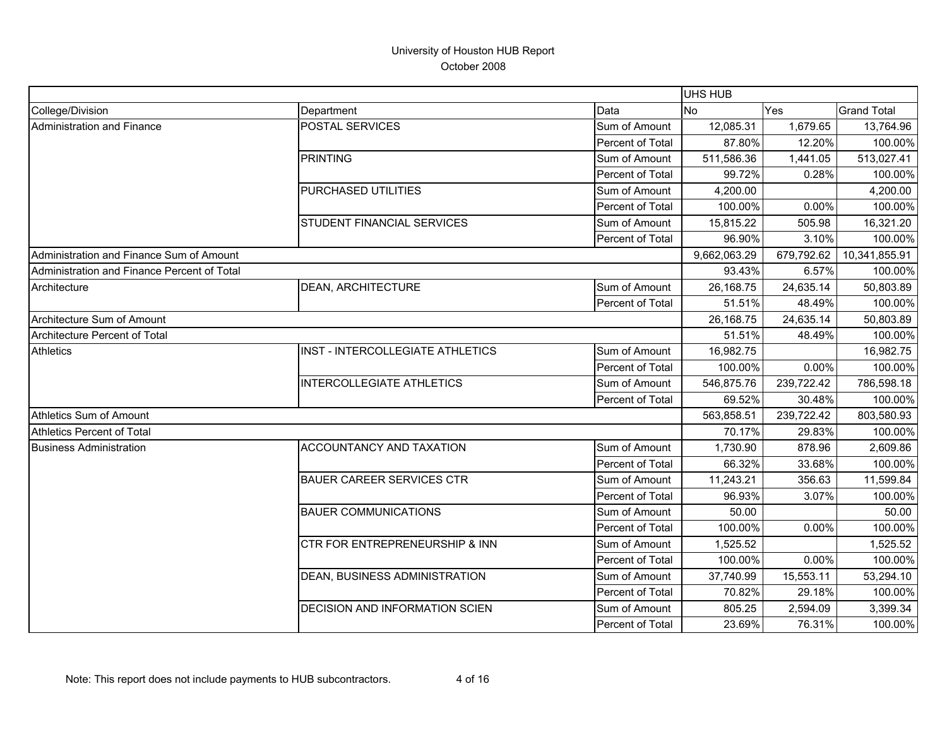|                                             |                                           |                  | <b>UHS HUB</b> |            |                    |
|---------------------------------------------|-------------------------------------------|------------------|----------------|------------|--------------------|
| College/Division                            | Department                                | Data             | <b>No</b>      | Yes        | <b>Grand Total</b> |
| Administration and Finance                  | POSTAL SERVICES                           | Sum of Amount    | 12,085.31      | 1,679.65   | 13,764.96          |
|                                             |                                           | Percent of Total | 87.80%         | 12.20%     | 100.00%            |
|                                             | <b>PRINTING</b>                           | Sum of Amount    | 511,586.36     | 1,441.05   | 513,027.41         |
|                                             |                                           | Percent of Total | 99.72%         | 0.28%      | 100.00%            |
|                                             | PURCHASED UTILITIES                       | Sum of Amount    | 4,200.00       |            | 4,200.00           |
|                                             |                                           | Percent of Total | 100.00%        | 0.00%      | 100.00%            |
|                                             | STUDENT FINANCIAL SERVICES                | Sum of Amount    | 15,815.22      | 505.98     | 16,321.20          |
|                                             |                                           | Percent of Total | 96.90%         | 3.10%      | 100.00%            |
| Administration and Finance Sum of Amount    |                                           |                  | 9,662,063.29   | 679,792.62 | 10,341,855.91      |
| Administration and Finance Percent of Total |                                           |                  | 93.43%         | 6.57%      | 100.00%            |
| Architecture                                | <b>DEAN, ARCHITECTURE</b>                 | Sum of Amount    | 26,168.75      | 24,635.14  | 50,803.89          |
|                                             |                                           | Percent of Total | 51.51%         | 48.49%     | 100.00%            |
| Architecture Sum of Amount                  |                                           |                  | 26,168.75      | 24,635.14  | 50,803.89          |
| Architecture Percent of Total               |                                           |                  | 51.51%         | 48.49%     | 100.00%            |
| <b>Athletics</b>                            | INST - INTERCOLLEGIATE ATHLETICS          | Sum of Amount    | 16,982.75      |            | 16,982.75          |
|                                             |                                           | Percent of Total | 100.00%        | 0.00%      | 100.00%            |
|                                             | <b>INTERCOLLEGIATE ATHLETICS</b>          | Sum of Amount    | 546,875.76     | 239,722.42 | 786,598.18         |
|                                             |                                           | Percent of Total | 69.52%         | 30.48%     | 100.00%            |
| Athletics Sum of Amount                     |                                           |                  | 563,858.51     | 239,722.42 | 803,580.93         |
| Athletics Percent of Total                  |                                           |                  | 70.17%         | 29.83%     | 100.00%            |
| <b>Business Administration</b>              | ACCOUNTANCY AND TAXATION                  | Sum of Amount    | 1,730.90       | 878.96     | 2,609.86           |
|                                             |                                           | Percent of Total | 66.32%         | 33.68%     | 100.00%            |
|                                             | <b>BAUER CAREER SERVICES CTR</b>          | Sum of Amount    | 11,243.21      | 356.63     | 11,599.84          |
|                                             |                                           | Percent of Total | 96.93%         | 3.07%      | 100.00%            |
|                                             | <b>BAUER COMMUNICATIONS</b>               | Sum of Amount    | 50.00          |            | 50.00              |
|                                             |                                           | Percent of Total | 100.00%        | 0.00%      | 100.00%            |
|                                             | <b>CTR FOR ENTREPRENEURSHIP &amp; INN</b> | Sum of Amount    | 1,525.52       |            | 1,525.52           |
|                                             |                                           | Percent of Total | 100.00%        | 0.00%      | 100.00%            |
|                                             | DEAN, BUSINESS ADMINISTRATION             | Sum of Amount    | 37,740.99      | 15,553.11  | 53,294.10          |
|                                             |                                           | Percent of Total | 70.82%         | 29.18%     | 100.00%            |
|                                             | DECISION AND INFORMATION SCIEN            | Sum of Amount    | 805.25         | 2,594.09   | 3,399.34           |
|                                             |                                           | Percent of Total | 23.69%         | 76.31%     | 100.00%            |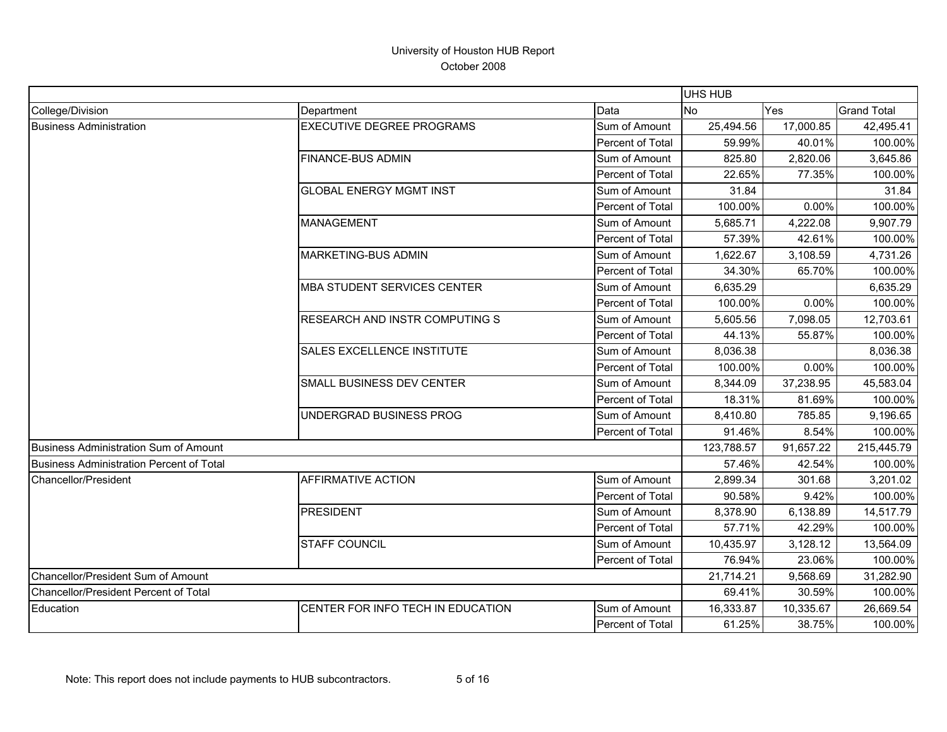|                                          |                                    |                  | <b>UHS HUB</b> |           |                    |
|------------------------------------------|------------------------------------|------------------|----------------|-----------|--------------------|
| College/Division                         | Department                         | Data             | No             | Yes       | <b>Grand Total</b> |
| <b>Business Administration</b>           | <b>EXECUTIVE DEGREE PROGRAMS</b>   | Sum of Amount    | 25,494.56      | 17,000.85 | 42,495.41          |
|                                          |                                    | Percent of Total | 59.99%         | 40.01%    | 100.00%            |
|                                          | <b>FINANCE-BUS ADMIN</b>           | Sum of Amount    | 825.80         | 2,820.06  | 3,645.86           |
|                                          |                                    | Percent of Total | 22.65%         | 77.35%    | 100.00%            |
|                                          | <b>GLOBAL ENERGY MGMT INST</b>     | Sum of Amount    | 31.84          |           | 31.84              |
|                                          |                                    | Percent of Total | 100.00%        | 0.00%     | 100.00%            |
|                                          | <b>MANAGEMENT</b>                  | Sum of Amount    | 5,685.71       | 4,222.08  | 9,907.79           |
|                                          |                                    | Percent of Total | 57.39%         | 42.61%    | 100.00%            |
|                                          | <b>MARKETING-BUS ADMIN</b>         | Sum of Amount    | 1,622.67       | 3,108.59  | 4,731.26           |
|                                          |                                    | Percent of Total | 34.30%         | 65.70%    | 100.00%            |
|                                          | <b>MBA STUDENT SERVICES CENTER</b> | Sum of Amount    | 6,635.29       |           | 6,635.29           |
|                                          |                                    | Percent of Total | 100.00%        | 0.00%     | 100.00%            |
|                                          | RESEARCH AND INSTR COMPUTING S     | Sum of Amount    | 5,605.56       | 7,098.05  | 12,703.61          |
|                                          |                                    | Percent of Total | 44.13%         | 55.87%    | 100.00%            |
|                                          | <b>SALES EXCELLENCE INSTITUTE</b>  | Sum of Amount    | 8,036.38       |           | 8,036.38           |
|                                          |                                    | Percent of Total | 100.00%        | 0.00%     | 100.00%            |
|                                          | SMALL BUSINESS DEV CENTER          | Sum of Amount    | 8,344.09       | 37,238.95 | 45,583.04          |
|                                          |                                    | Percent of Total | 18.31%         | 81.69%    | 100.00%            |
|                                          | UNDERGRAD BUSINESS PROG            | Sum of Amount    | 8,410.80       | 785.85    | 9,196.65           |
|                                          |                                    | Percent of Total | 91.46%         | 8.54%     | 100.00%            |
| Business Administration Sum of Amount    |                                    |                  | 123,788.57     | 91,657.22 | 215,445.79         |
| Business Administration Percent of Total |                                    |                  | 57.46%         | 42.54%    | 100.00%            |
| Chancellor/President                     | <b>AFFIRMATIVE ACTION</b>          | Sum of Amount    | 2,899.34       | 301.68    | 3,201.02           |
|                                          |                                    | Percent of Total | 90.58%         | 9.42%     | 100.00%            |
|                                          | <b>PRESIDENT</b>                   | Sum of Amount    | 8,378.90       | 6,138.89  | 14,517.79          |
|                                          |                                    | Percent of Total | 57.71%         | 42.29%    | 100.00%            |
|                                          | <b>STAFF COUNCIL</b>               | Sum of Amount    | 10,435.97      | 3,128.12  | 13,564.09          |
|                                          |                                    | Percent of Total | 76.94%         | 23.06%    | 100.00%            |
| Chancellor/President Sum of Amount       |                                    |                  | 21,714.21      | 9,568.69  | 31,282.90          |
| Chancellor/President Percent of Total    |                                    |                  | 69.41%         | 30.59%    | 100.00%            |
| Education                                | CENTER FOR INFO TECH IN EDUCATION  | Sum of Amount    | 16,333.87      | 10,335.67 | 26,669.54          |
|                                          |                                    | Percent of Total | 61.25%         | 38.75%    | 100.00%            |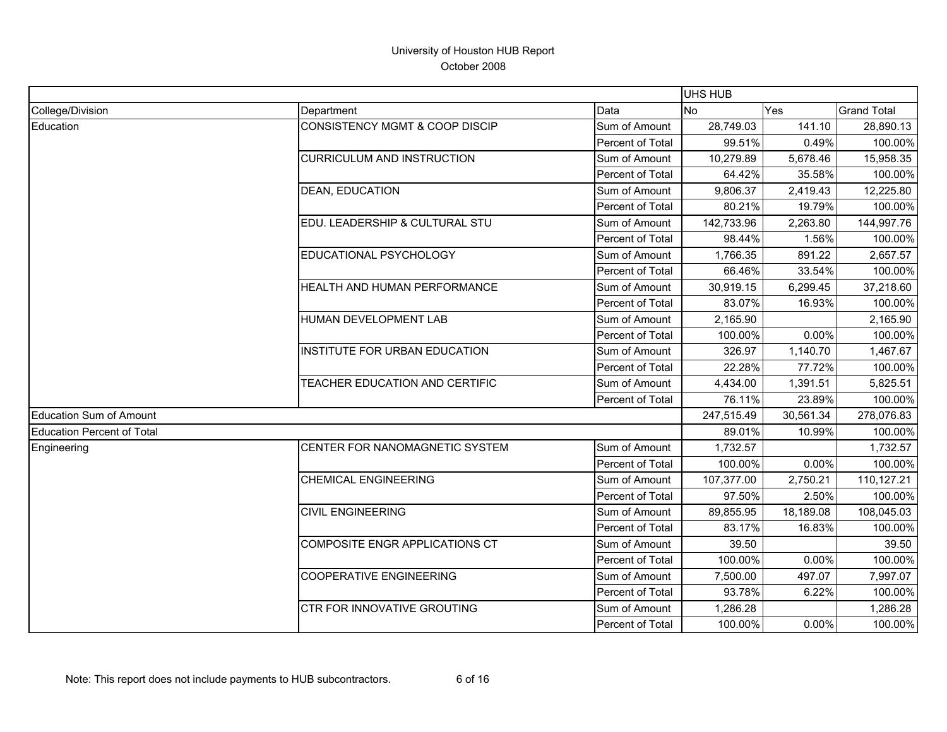|                                   |                                   |                  | <b>UHS HUB</b> |           |                    |
|-----------------------------------|-----------------------------------|------------------|----------------|-----------|--------------------|
| College/Division                  | Department                        | Data             | <b>No</b>      | Yes       | <b>Grand Total</b> |
| Education                         | CONSISTENCY MGMT & COOP DISCIP    | Sum of Amount    | 28,749.03      | 141.10    | 28,890.13          |
|                                   |                                   | Percent of Total | 99.51%         | 0.49%     | 100.00%            |
|                                   | <b>CURRICULUM AND INSTRUCTION</b> | Sum of Amount    | 10,279.89      | 5,678.46  | 15,958.35          |
|                                   |                                   | Percent of Total | 64.42%         | 35.58%    | 100.00%            |
|                                   | DEAN, EDUCATION                   | Sum of Amount    | 9,806.37       | 2,419.43  | 12,225.80          |
|                                   |                                   | Percent of Total | 80.21%         | 19.79%    | 100.00%            |
|                                   | EDU. LEADERSHIP & CULTURAL STU    | Sum of Amount    | 142,733.96     | 2,263.80  | 144,997.76         |
|                                   |                                   | Percent of Total | 98.44%         | 1.56%     | 100.00%            |
|                                   | EDUCATIONAL PSYCHOLOGY            | Sum of Amount    | 1,766.35       | 891.22    | 2,657.57           |
|                                   |                                   | Percent of Total | 66.46%         | 33.54%    | 100.00%            |
|                                   | HEALTH AND HUMAN PERFORMANCE      | Sum of Amount    | 30,919.15      | 6,299.45  | 37,218.60          |
|                                   |                                   | Percent of Total | 83.07%         | 16.93%    | 100.00%            |
|                                   | HUMAN DEVELOPMENT LAB             | Sum of Amount    | 2,165.90       |           | 2,165.90           |
|                                   |                                   | Percent of Total | 100.00%        | 0.00%     | 100.00%            |
|                                   | INSTITUTE FOR URBAN EDUCATION     | Sum of Amount    | 326.97         | 1,140.70  | 1,467.67           |
|                                   |                                   | Percent of Total | 22.28%         | 77.72%    | 100.00%            |
|                                   | TEACHER EDUCATION AND CERTIFIC    | Sum of Amount    | 4,434.00       | 1,391.51  | 5,825.51           |
|                                   |                                   | Percent of Total | 76.11%         | 23.89%    | 100.00%            |
| <b>Education Sum of Amount</b>    |                                   |                  | 247,515.49     | 30,561.34 | 278,076.83         |
| <b>Education Percent of Total</b> |                                   |                  | 89.01%         | 10.99%    | 100.00%            |
| Engineering                       | CENTER FOR NANOMAGNETIC SYSTEM    | Sum of Amount    | 1,732.57       |           | 1,732.57           |
|                                   |                                   | Percent of Total | 100.00%        | 0.00%     | 100.00%            |
|                                   | <b>CHEMICAL ENGINEERING</b>       | Sum of Amount    | 107,377.00     | 2,750.21  | 110,127.21         |
|                                   |                                   | Percent of Total | 97.50%         | 2.50%     | 100.00%            |
|                                   | <b>CIVIL ENGINEERING</b>          | Sum of Amount    | 89,855.95      | 18,189.08 | 108,045.03         |
|                                   |                                   | Percent of Total | 83.17%         | 16.83%    | 100.00%            |
|                                   | COMPOSITE ENGR APPLICATIONS CT    | Sum of Amount    | 39.50          |           | 39.50              |
|                                   |                                   | Percent of Total | 100.00%        | 0.00%     | 100.00%            |
|                                   | <b>COOPERATIVE ENGINEERING</b>    | Sum of Amount    | 7,500.00       | 497.07    | 7,997.07           |
|                                   |                                   | Percent of Total | 93.78%         | 6.22%     | 100.00%            |
|                                   | CTR FOR INNOVATIVE GROUTING       | Sum of Amount    | 1,286.28       |           | 1,286.28           |
|                                   |                                   | Percent of Total | 100.00%        | 0.00%     | 100.00%            |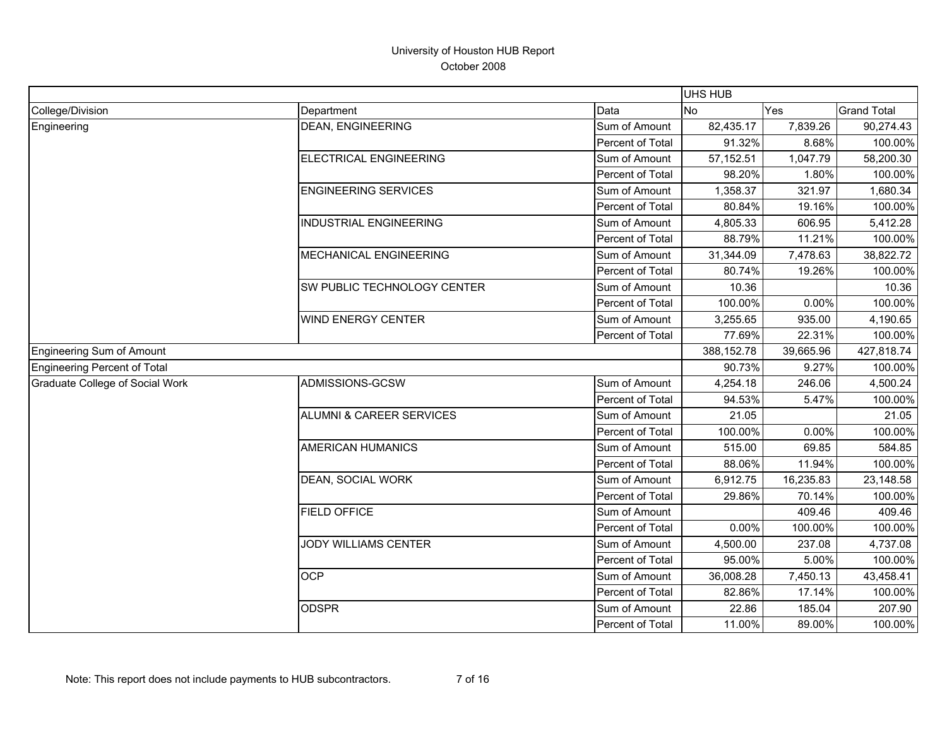|                                        |                                     |                  | <b>UHS HUB</b> |           |                    |
|----------------------------------------|-------------------------------------|------------------|----------------|-----------|--------------------|
| College/Division                       | Department                          | Data             | <b>No</b>      | Yes       | <b>Grand Total</b> |
| Engineering                            | <b>DEAN, ENGINEERING</b>            | Sum of Amount    | 82,435.17      | 7,839.26  | 90,274.43          |
|                                        |                                     | Percent of Total | 91.32%         | 8.68%     | 100.00%            |
|                                        | ELECTRICAL ENGINEERING              | Sum of Amount    | 57, 152.51     | 1,047.79  | 58,200.30          |
|                                        |                                     | Percent of Total | 98.20%         | 1.80%     | 100.00%            |
|                                        | <b>ENGINEERING SERVICES</b>         | Sum of Amount    | 1,358.37       | 321.97    | 1,680.34           |
|                                        |                                     | Percent of Total | 80.84%         | 19.16%    | 100.00%            |
|                                        | <b>INDUSTRIAL ENGINEERING</b>       | Sum of Amount    | 4,805.33       | 606.95    | 5,412.28           |
|                                        |                                     | Percent of Total | 88.79%         | 11.21%    | 100.00%            |
|                                        | MECHANICAL ENGINEERING              | Sum of Amount    | 31,344.09      | 7,478.63  | 38,822.72          |
|                                        |                                     | Percent of Total | 80.74%         | 19.26%    | 100.00%            |
|                                        | SW PUBLIC TECHNOLOGY CENTER         | Sum of Amount    | 10.36          |           | 10.36              |
|                                        |                                     | Percent of Total | 100.00%        | 0.00%     | 100.00%            |
|                                        | <b>WIND ENERGY CENTER</b>           | Sum of Amount    | 3,255.65       | 935.00    | 4,190.65           |
|                                        |                                     | Percent of Total | 77.69%         | 22.31%    | 100.00%            |
| <b>Engineering Sum of Amount</b>       |                                     |                  | 388,152.78     | 39,665.96 | 427,818.74         |
| Engineering Percent of Total           |                                     |                  | 90.73%         | 9.27%     | 100.00%            |
| <b>Graduate College of Social Work</b> | ADMISSIONS-GCSW                     | Sum of Amount    | 4,254.18       | 246.06    | 4,500.24           |
|                                        |                                     | Percent of Total | 94.53%         | 5.47%     | 100.00%            |
|                                        | <b>ALUMNI &amp; CAREER SERVICES</b> | Sum of Amount    | 21.05          |           | 21.05              |
|                                        |                                     | Percent of Total | 100.00%        | 0.00%     | 100.00%            |
|                                        | <b>AMERICAN HUMANICS</b>            | Sum of Amount    | 515.00         | 69.85     | 584.85             |
|                                        |                                     | Percent of Total | 88.06%         | 11.94%    | 100.00%            |
|                                        | <b>DEAN, SOCIAL WORK</b>            | Sum of Amount    | 6,912.75       | 16,235.83 | 23,148.58          |
|                                        |                                     | Percent of Total | 29.86%         | 70.14%    | 100.00%            |
|                                        | <b>FIELD OFFICE</b>                 | Sum of Amount    |                | 409.46    | 409.46             |
|                                        |                                     | Percent of Total | 0.00%          | 100.00%   | 100.00%            |
|                                        | <b>JODY WILLIAMS CENTER</b>         | Sum of Amount    | 4,500.00       | 237.08    | 4,737.08           |
|                                        |                                     | Percent of Total | 95.00%         | 5.00%     | 100.00%            |
|                                        | <b>OCP</b>                          | Sum of Amount    | 36,008.28      | 7,450.13  | 43,458.41          |
|                                        |                                     | Percent of Total | 82.86%         | 17.14%    | 100.00%            |
|                                        | <b>ODSPR</b>                        | Sum of Amount    | 22.86          | 185.04    | 207.90             |
|                                        |                                     | Percent of Total | 11.00%         | 89.00%    | 100.00%            |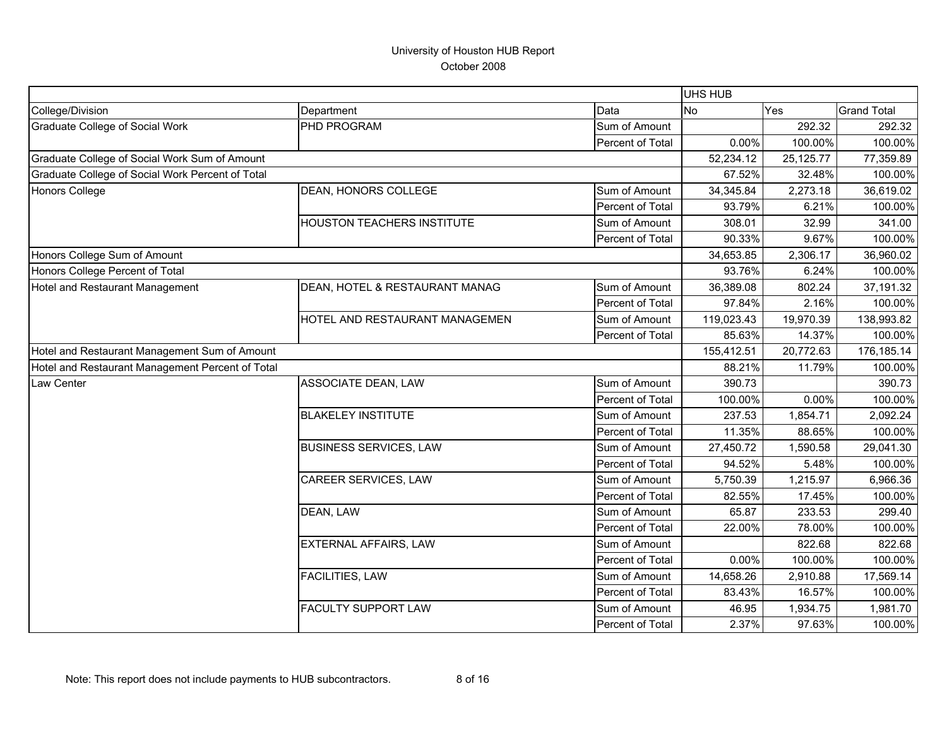|                                                  |                                                                                                                                                                                                                        |                  | UHS HUB    |           |                    |
|--------------------------------------------------|------------------------------------------------------------------------------------------------------------------------------------------------------------------------------------------------------------------------|------------------|------------|-----------|--------------------|
| College/Division                                 | Department                                                                                                                                                                                                             | Data             | <b>No</b>  | Yes       | <b>Grand Total</b> |
| <b>Graduate College of Social Work</b>           | PHD PROGRAM                                                                                                                                                                                                            | Sum of Amount    |            | 292.32    | 292.32             |
|                                                  |                                                                                                                                                                                                                        | Percent of Total | 0.00%      | 100.00%   | 100.00%            |
| Graduate College of Social Work Sum of Amount    |                                                                                                                                                                                                                        |                  | 52,234.12  | 25,125.77 | 77,359.89          |
| Graduate College of Social Work Percent of Total |                                                                                                                                                                                                                        |                  | 67.52%     | 32.48%    | 100.00%            |
| <b>Honors College</b>                            | DEAN, HONORS COLLEGE                                                                                                                                                                                                   | Sum of Amount    | 34,345.84  | 2,273.18  | 36,619.02          |
|                                                  |                                                                                                                                                                                                                        | Percent of Total | 93.79%     | 6.21%     | 100.00%            |
|                                                  | <b>HOUSTON TEACHERS INSTITUTE</b>                                                                                                                                                                                      | Sum of Amount    | 308.01     | 32.99     | 341.00             |
|                                                  |                                                                                                                                                                                                                        | Percent of Total | 90.33%     | 9.67%     | 100.00%            |
| Honors College Sum of Amount                     |                                                                                                                                                                                                                        |                  | 34,653.85  | 2,306.17  | 36,960.02          |
| Honors College Percent of Total                  |                                                                                                                                                                                                                        |                  | 93.76%     | 6.24%     | 100.00%            |
| Hotel and Restaurant Management                  | DEAN, HOTEL & RESTAURANT MANAG                                                                                                                                                                                         | Sum of Amount    | 36,389.08  | 802.24    | 37,191.32          |
|                                                  |                                                                                                                                                                                                                        | Percent of Total | 97.84%     | 2.16%     | 100.00%            |
|                                                  |                                                                                                                                                                                                                        | Sum of Amount    | 119,023.43 | 19,970.39 | 138,993.82         |
|                                                  |                                                                                                                                                                                                                        | Percent of Total | 85.63%     | 14.37%    | 100.00%            |
| Hotel and Restaurant Management Sum of Amount    |                                                                                                                                                                                                                        |                  | 155,412.51 | 20,772.63 | 176,185.14         |
| Hotel and Restaurant Management Percent of Total |                                                                                                                                                                                                                        |                  | 88.21%     | 11.79%    | 100.00%            |
| Law Center                                       |                                                                                                                                                                                                                        | Sum of Amount    | 390.73     |           | 390.73             |
|                                                  |                                                                                                                                                                                                                        | Percent of Total | 100.00%    | 0.00%     | 100.00%            |
|                                                  |                                                                                                                                                                                                                        | Sum of Amount    | 237.53     | 1,854.71  | 2,092.24           |
|                                                  |                                                                                                                                                                                                                        | Percent of Total | 11.35%     | 88.65%    | 100.00%            |
|                                                  | <b>BUSINESS SERVICES, LAW</b>                                                                                                                                                                                          | Sum of Amount    | 27,450.72  | 1,590.58  | 29,041.30          |
|                                                  | HOTEL AND RESTAURANT MANAGEMEN<br><b>ASSOCIATE DEAN, LAW</b><br><b>BLAKELEY INSTITUTE</b><br>CAREER SERVICES, LAW<br>DEAN, LAW<br><b>EXTERNAL AFFAIRS, LAW</b><br><b>FACILITIES, LAW</b><br><b>FACULTY SUPPORT LAW</b> | Percent of Total | 94.52%     | 5.48%     | 100.00%            |
|                                                  |                                                                                                                                                                                                                        | Sum of Amount    | 5,750.39   | 1,215.97  | 6,966.36           |
|                                                  |                                                                                                                                                                                                                        | Percent of Total | 82.55%     | 17.45%    | 100.00%            |
|                                                  |                                                                                                                                                                                                                        | Sum of Amount    | 65.87      | 233.53    | 299.40             |
|                                                  |                                                                                                                                                                                                                        | Percent of Total | 22.00%     | 78.00%    | 100.00%            |
|                                                  |                                                                                                                                                                                                                        | Sum of Amount    |            | 822.68    | 822.68             |
|                                                  |                                                                                                                                                                                                                        | Percent of Total | 0.00%      | 100.00%   | 100.00%            |
|                                                  |                                                                                                                                                                                                                        | Sum of Amount    | 14,658.26  | 2,910.88  | 17,569.14          |
|                                                  |                                                                                                                                                                                                                        | Percent of Total | 83.43%     | 16.57%    | 100.00%            |
|                                                  |                                                                                                                                                                                                                        | Sum of Amount    | 46.95      | 1,934.75  | 1,981.70           |
|                                                  |                                                                                                                                                                                                                        | Percent of Total | 2.37%      | 97.63%    | 100.00%            |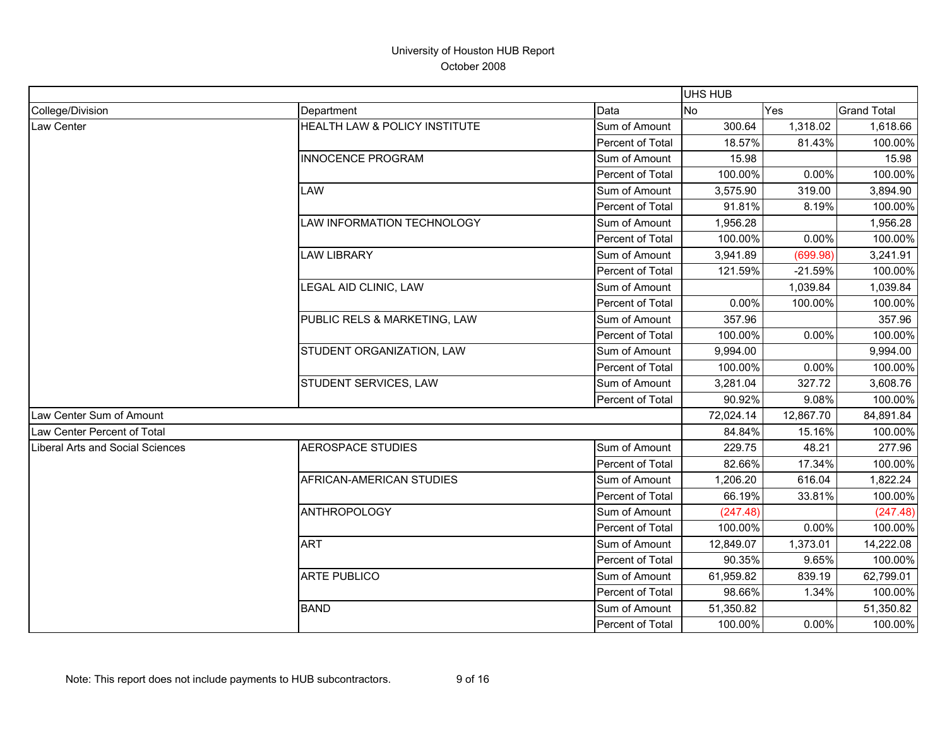|                                  |                               |                  | <b>UHS HUB</b> |           |                    |
|----------------------------------|-------------------------------|------------------|----------------|-----------|--------------------|
| College/Division                 | Department                    | Data             | <b>No</b>      | Yes       | <b>Grand Total</b> |
| Law Center                       | HEALTH LAW & POLICY INSTITUTE | Sum of Amount    | 300.64         | 1,318.02  | 1,618.66           |
|                                  |                               | Percent of Total | 18.57%         | 81.43%    | 100.00%            |
|                                  | <b>INNOCENCE PROGRAM</b>      | Sum of Amount    | 15.98          |           | 15.98              |
|                                  |                               | Percent of Total | 100.00%        | 0.00%     | 100.00%            |
|                                  | LAW                           | Sum of Amount    | 3,575.90       | 319.00    | 3,894.90           |
|                                  |                               | Percent of Total | 91.81%         | 8.19%     | 100.00%            |
|                                  | LAW INFORMATION TECHNOLOGY    | Sum of Amount    | 1,956.28       |           | 1,956.28           |
|                                  |                               | Percent of Total | 100.00%        | 0.00%     | 100.00%            |
|                                  | <b>LAW LIBRARY</b>            | Sum of Amount    | 3,941.89       | (699.98)  | 3,241.91           |
|                                  |                               | Percent of Total | 121.59%        | $-21.59%$ | 100.00%            |
|                                  | LEGAL AID CLINIC, LAW         | Sum of Amount    |                | 1,039.84  | 1,039.84           |
|                                  |                               | Percent of Total | 0.00%          | 100.00%   | 100.00%            |
|                                  | PUBLIC RELS & MARKETING, LAW  | Sum of Amount    | 357.96         |           | 357.96             |
|                                  |                               | Percent of Total | 100.00%        | 0.00%     | 100.00%            |
|                                  | STUDENT ORGANIZATION, LAW     | Sum of Amount    | 9,994.00       |           | 9,994.00           |
|                                  |                               | Percent of Total | 100.00%        | 0.00%     | 100.00%            |
|                                  | STUDENT SERVICES, LAW         | Sum of Amount    | 3,281.04       | 327.72    | 3,608.76           |
|                                  |                               | Percent of Total | 90.92%         | 9.08%     | 100.00%            |
| Law Center Sum of Amount         |                               |                  | 72,024.14      | 12,867.70 | 84,891.84          |
| Law Center Percent of Total      |                               |                  | 84.84%         | 15.16%    | 100.00%            |
| Liberal Arts and Social Sciences | <b>AEROSPACE STUDIES</b>      | Sum of Amount    | 229.75         | 48.21     | 277.96             |
|                                  |                               | Percent of Total | 82.66%         | 17.34%    | 100.00%            |
|                                  | AFRICAN-AMERICAN STUDIES      | Sum of Amount    | 1,206.20       | 616.04    | 1,822.24           |
|                                  |                               | Percent of Total | 66.19%         | 33.81%    | 100.00%            |
|                                  | <b>ANTHROPOLOGY</b>           | Sum of Amount    | (247.48)       |           | (247.48)           |
|                                  |                               | Percent of Total | 100.00%        | 0.00%     | 100.00%            |
|                                  | <b>ART</b>                    | Sum of Amount    | 12,849.07      | 1,373.01  | 14,222.08          |
|                                  |                               | Percent of Total | 90.35%         | 9.65%     | 100.00%            |
|                                  | <b>ARTE PUBLICO</b>           | Sum of Amount    | 61,959.82      | 839.19    | 62,799.01          |
|                                  |                               | Percent of Total | 98.66%         | 1.34%     | 100.00%            |
|                                  | <b>BAND</b>                   | Sum of Amount    | 51,350.82      |           | 51,350.82          |
|                                  |                               | Percent of Total | 100.00%        | 0.00%     | 100.00%            |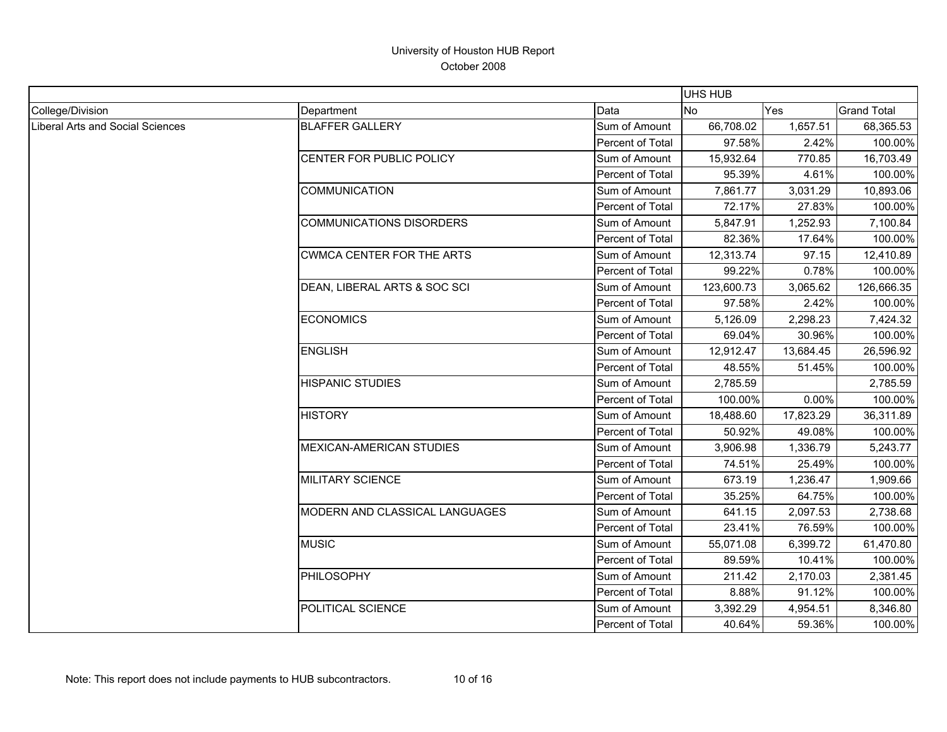|                                  |                                 |                         | <b>UHS HUB</b> |           |                    |
|----------------------------------|---------------------------------|-------------------------|----------------|-----------|--------------------|
| College/Division                 | Department                      | Data                    | <b>No</b>      | Yes       | <b>Grand Total</b> |
| Liberal Arts and Social Sciences | <b>BLAFFER GALLERY</b>          | Sum of Amount           | 66,708.02      | 1,657.51  | 68,365.53          |
|                                  |                                 | Percent of Total        | 97.58%         | 2.42%     | 100.00%            |
|                                  | CENTER FOR PUBLIC POLICY        | Sum of Amount           | 15,932.64      | 770.85    | 16,703.49          |
|                                  |                                 | Percent of Total        | 95.39%         | 4.61%     | 100.00%            |
|                                  | <b>COMMUNICATION</b>            | Sum of Amount           | 7,861.77       | 3,031.29  | 10,893.06          |
|                                  |                                 | Percent of Total        | 72.17%         | 27.83%    | 100.00%            |
|                                  | <b>COMMUNICATIONS DISORDERS</b> | Sum of Amount           | 5,847.91       | 1,252.93  | 7,100.84           |
|                                  |                                 | Percent of Total        | 82.36%         | 17.64%    | 100.00%            |
|                                  | CWMCA CENTER FOR THE ARTS       | Sum of Amount           | 12,313.74      | 97.15     | 12,410.89          |
|                                  |                                 | Percent of Total        | 99.22%         | 0.78%     | 100.00%            |
|                                  | DEAN, LIBERAL ARTS & SOC SCI    | Sum of Amount           | 123,600.73     | 3,065.62  | 126,666.35         |
|                                  |                                 | Percent of Total        | 97.58%         | 2.42%     | 100.00%            |
|                                  | <b>ECONOMICS</b>                | Sum of Amount           | 5,126.09       | 2,298.23  | 7,424.32           |
|                                  |                                 | Percent of Total        | 69.04%         | 30.96%    | 100.00%            |
|                                  | <b>ENGLISH</b>                  | Sum of Amount           | 12,912.47      | 13,684.45 | 26,596.92          |
|                                  |                                 | <b>Percent of Total</b> | 48.55%         | 51.45%    | 100.00%            |
|                                  | <b>HISPANIC STUDIES</b>         | Sum of Amount           | 2,785.59       |           | 2,785.59           |
|                                  |                                 | Percent of Total        | 100.00%        | 0.00%     | 100.00%            |
|                                  | <b>HISTORY</b>                  | Sum of Amount           | 18,488.60      | 17,823.29 | 36,311.89          |
|                                  |                                 | Percent of Total        | 50.92%         | 49.08%    | 100.00%            |
|                                  | <b>MEXICAN-AMERICAN STUDIES</b> | Sum of Amount           | 3,906.98       | 1,336.79  | 5,243.77           |
|                                  |                                 | Percent of Total        | 74.51%         | 25.49%    | 100.00%            |
|                                  | <b>MILITARY SCIENCE</b>         | Sum of Amount           | 673.19         | 1,236.47  | 1,909.66           |
|                                  |                                 | Percent of Total        | 35.25%         | 64.75%    | 100.00%            |
|                                  | MODERN AND CLASSICAL LANGUAGES  | Sum of Amount           | 641.15         | 2,097.53  | 2,738.68           |
|                                  |                                 | Percent of Total        | 23.41%         | 76.59%    | 100.00%            |
|                                  | <b>MUSIC</b>                    | Sum of Amount           | 55,071.08      | 6,399.72  | 61,470.80          |
|                                  |                                 | Percent of Total        | 89.59%         | 10.41%    | 100.00%            |
|                                  | PHILOSOPHY                      | Sum of Amount           | 211.42         | 2,170.03  | 2,381.45           |
|                                  |                                 | Percent of Total        | 8.88%          | 91.12%    | 100.00%            |
|                                  | POLITICAL SCIENCE               | Sum of Amount           | 3,392.29       | 4,954.51  | 8,346.80           |
|                                  |                                 | Percent of Total        | 40.64%         | 59.36%    | 100.00%            |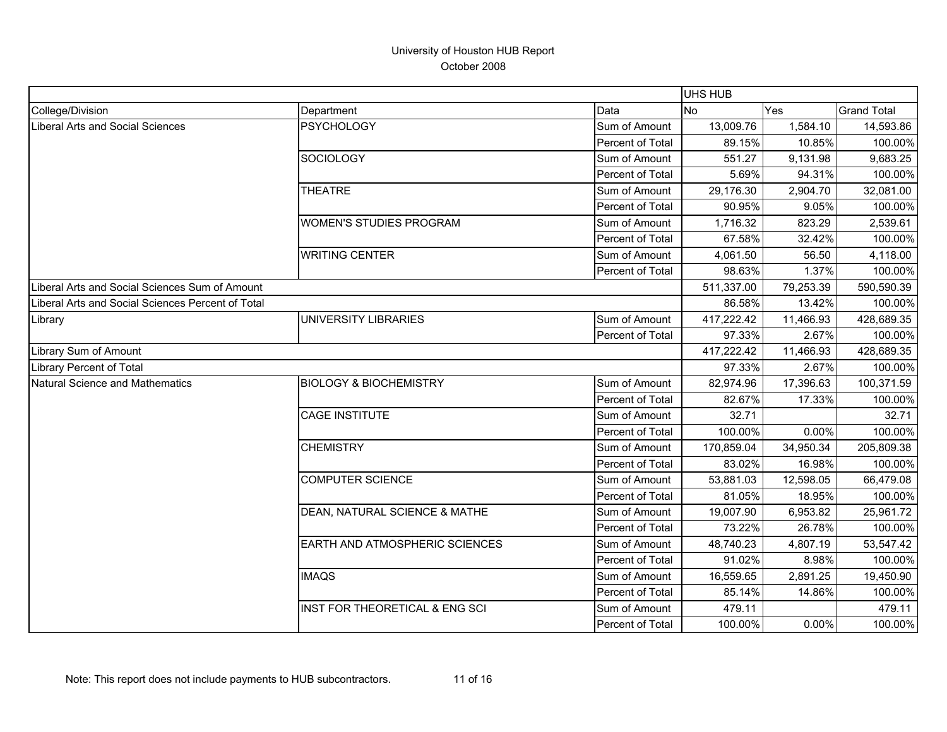|                                                   |                                   |                         | <b>UHS HUB</b> |           |                    |
|---------------------------------------------------|-----------------------------------|-------------------------|----------------|-----------|--------------------|
| College/Division                                  | Department                        | Data                    | No             | Yes       | <b>Grand Total</b> |
| <b>Liberal Arts and Social Sciences</b>           | <b>PSYCHOLOGY</b>                 | Sum of Amount           | 13,009.76      | 1,584.10  | 14,593.86          |
|                                                   |                                   | Percent of Total        | 89.15%         | 10.85%    | 100.00%            |
|                                                   | <b>SOCIOLOGY</b>                  | Sum of Amount           | 551.27         | 9,131.98  | 9,683.25           |
|                                                   |                                   | Percent of Total        | 5.69%          | 94.31%    | 100.00%            |
|                                                   | <b>THEATRE</b>                    | Sum of Amount           | 29,176.30      | 2,904.70  | 32,081.00          |
|                                                   |                                   | Percent of Total        | 90.95%         | 9.05%     | 100.00%            |
|                                                   | <b>WOMEN'S STUDIES PROGRAM</b>    | Sum of Amount           | 1,716.32       | 823.29    | 2,539.61           |
|                                                   |                                   | Percent of Total        | 67.58%         | 32.42%    | 100.00%            |
|                                                   | <b>WRITING CENTER</b>             | Sum of Amount           | 4,061.50       | 56.50     | 4,118.00           |
|                                                   |                                   | Percent of Total        | 98.63%         | 1.37%     | 100.00%            |
| Liberal Arts and Social Sciences Sum of Amount    |                                   |                         | 511,337.00     | 79,253.39 | 590,590.39         |
| Liberal Arts and Social Sciences Percent of Total |                                   |                         | 86.58%         | 13.42%    | 100.00%            |
| Library                                           | UNIVERSITY LIBRARIES              | Sum of Amount           | 417,222.42     | 11,466.93 | 428,689.35         |
|                                                   |                                   | Percent of Total        | 97.33%         | 2.67%     | 100.00%            |
| Library Sum of Amount                             |                                   |                         | 417,222.42     | 11,466.93 | 428,689.35         |
| Library Percent of Total                          |                                   |                         | 97.33%         | 2.67%     | 100.00%            |
| <b>Natural Science and Mathematics</b>            | <b>BIOLOGY &amp; BIOCHEMISTRY</b> | Sum of Amount           | 82,974.96      | 17,396.63 | 100,371.59         |
|                                                   |                                   | Percent of Total        | 82.67%         | 17.33%    | 100.00%            |
|                                                   | <b>CAGE INSTITUTE</b>             | Sum of Amount           | 32.71          |           | 32.71              |
|                                                   |                                   | Percent of Total        | 100.00%        | 0.00%     | 100.00%            |
|                                                   | <b>CHEMISTRY</b>                  | Sum of Amount           | 170,859.04     | 34,950.34 | 205,809.38         |
|                                                   |                                   | Percent of Total        | 83.02%         | 16.98%    | 100.00%            |
|                                                   | <b>COMPUTER SCIENCE</b>           | Sum of Amount           | 53,881.03      | 12,598.05 | 66,479.08          |
|                                                   |                                   | <b>Percent of Total</b> | 81.05%         | 18.95%    | 100.00%            |
|                                                   | DEAN, NATURAL SCIENCE & MATHE     | Sum of Amount           | 19,007.90      | 6,953.82  | 25,961.72          |
|                                                   |                                   | Percent of Total        | 73.22%         | 26.78%    | 100.00%            |
|                                                   | EARTH AND ATMOSPHERIC SCIENCES    | Sum of Amount           | 48,740.23      | 4,807.19  | 53,547.42          |
|                                                   |                                   | Percent of Total        | 91.02%         | 8.98%     | 100.00%            |
|                                                   | <b>IMAQS</b>                      | Sum of Amount           | 16,559.65      | 2,891.25  | 19,450.90          |
|                                                   |                                   | Percent of Total        | 85.14%         | 14.86%    | 100.00%            |
|                                                   | INST FOR THEORETICAL & ENG SCI    | Sum of Amount           | 479.11         |           | 479.11             |
|                                                   |                                   | Percent of Total        | 100.00%        | 0.00%     | 100.00%            |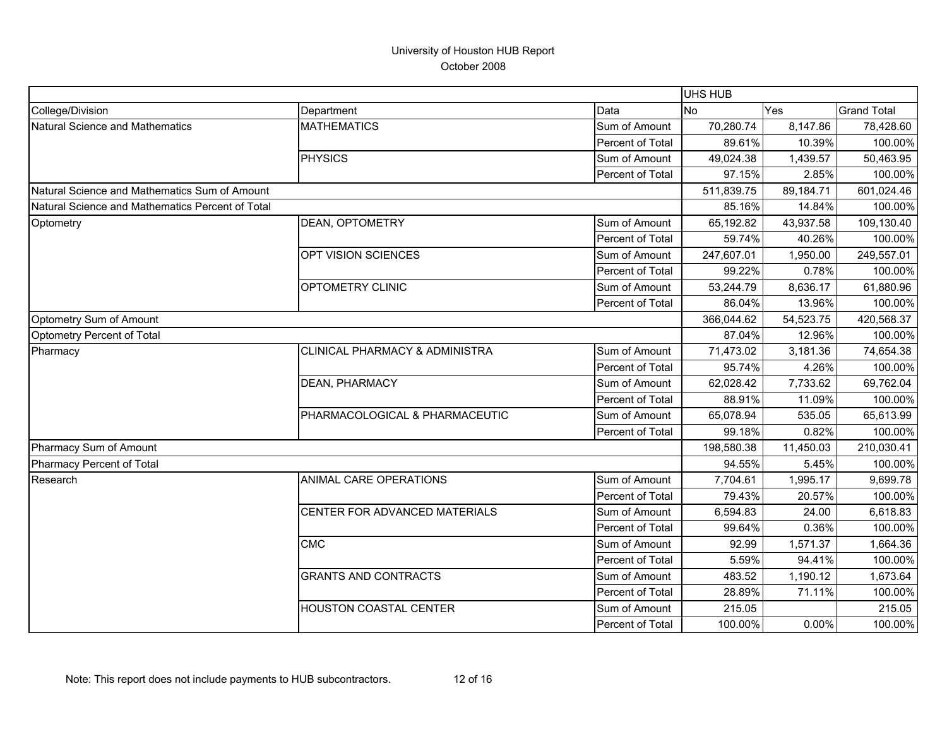|                                                  |                                |                  | UHS HUB    |           |                    |
|--------------------------------------------------|--------------------------------|------------------|------------|-----------|--------------------|
| College/Division                                 | Department                     | Data             | <b>No</b>  | Yes       | <b>Grand Total</b> |
| Natural Science and Mathematics                  | <b>MATHEMATICS</b>             | Sum of Amount    | 70,280.74  | 8,147.86  | 78,428.60          |
|                                                  |                                | Percent of Total | 89.61%     | 10.39%    | 100.00%            |
|                                                  | <b>PHYSICS</b>                 | Sum of Amount    | 49,024.38  | 1,439.57  | 50,463.95          |
|                                                  |                                | Percent of Total | 97.15%     | 2.85%     | 100.00%            |
| Natural Science and Mathematics Sum of Amount    |                                |                  | 511,839.75 | 89,184.71 | 601,024.46         |
| Natural Science and Mathematics Percent of Total |                                |                  | 85.16%     | 14.84%    | 100.00%            |
| Optometry                                        | DEAN, OPTOMETRY                | Sum of Amount    | 65,192.82  | 43,937.58 | 109,130.40         |
|                                                  |                                | Percent of Total | 59.74%     | 40.26%    | 100.00%            |
|                                                  | OPT VISION SCIENCES            | Sum of Amount    | 247,607.01 | 1,950.00  | 249,557.01         |
|                                                  |                                | Percent of Total | 99.22%     | 0.78%     | 100.00%            |
|                                                  | OPTOMETRY CLINIC               | Sum of Amount    | 53,244.79  | 8,636.17  | 61,880.96          |
|                                                  |                                | Percent of Total | 86.04%     | 13.96%    | 100.00%            |
| Optometry Sum of Amount                          |                                |                  | 366,044.62 | 54,523.75 | 420,568.37         |
| Optometry Percent of Total                       |                                |                  | 87.04%     | 12.96%    | 100.00%            |
| Pharmacy                                         | CLINICAL PHARMACY & ADMINISTRA | Sum of Amount    | 71,473.02  | 3,181.36  | 74,654.38          |
|                                                  |                                | Percent of Total | 95.74%     | 4.26%     | 100.00%            |
|                                                  | <b>DEAN, PHARMACY</b>          | Sum of Amount    | 62,028.42  | 7,733.62  | 69,762.04          |
|                                                  |                                | Percent of Total | 88.91%     | 11.09%    | 100.00%            |
|                                                  | PHARMACOLOGICAL & PHARMACEUTIC | Sum of Amount    | 65,078.94  | 535.05    | 65,613.99          |
|                                                  |                                | Percent of Total | 99.18%     | 0.82%     | 100.00%            |
| Pharmacy Sum of Amount                           |                                |                  | 198,580.38 | 11,450.03 | 210,030.41         |
| Pharmacy Percent of Total                        |                                |                  | 94.55%     | 5.45%     | 100.00%            |
| Research                                         | ANIMAL CARE OPERATIONS         | Sum of Amount    | 7,704.61   | 1,995.17  | 9,699.78           |
|                                                  |                                | Percent of Total | 79.43%     | 20.57%    | 100.00%            |
|                                                  | CENTER FOR ADVANCED MATERIALS  | Sum of Amount    | 6,594.83   | 24.00     | 6,618.83           |
|                                                  |                                | Percent of Total | 99.64%     | 0.36%     | 100.00%            |
|                                                  | <b>CMC</b>                     | Sum of Amount    | 92.99      | 1,571.37  | 1,664.36           |
|                                                  |                                | Percent of Total | 5.59%      | 94.41%    | 100.00%            |
|                                                  | <b>GRANTS AND CONTRACTS</b>    | Sum of Amount    | 483.52     | 1,190.12  | 1,673.64           |
|                                                  |                                | Percent of Total | 28.89%     | 71.11%    | 100.00%            |
|                                                  | <b>HOUSTON COASTAL CENTER</b>  | Sum of Amount    | 215.05     |           | 215.05             |
|                                                  |                                | Percent of Total | 100.00%    | 0.00%     | 100.00%            |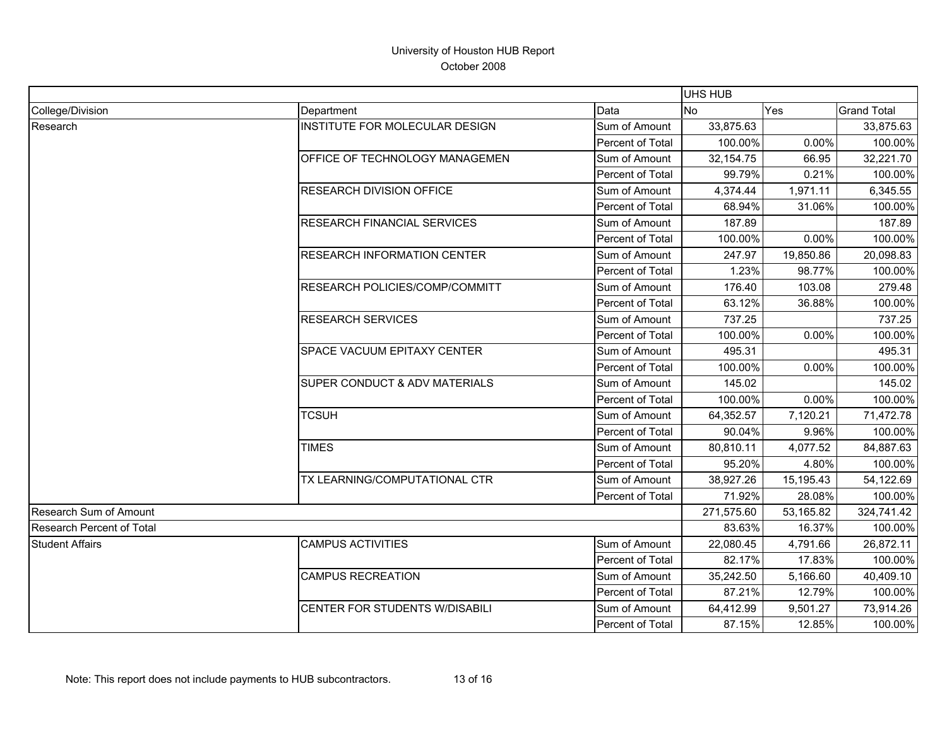|                               |                                    |                  | <b>UHS HUB</b> |            |                    |
|-------------------------------|------------------------------------|------------------|----------------|------------|--------------------|
| College/Division              | Department                         | Data             | <b>No</b>      | Yes        | <b>Grand Total</b> |
| Research                      | INSTITUTE FOR MOLECULAR DESIGN     | Sum of Amount    | 33,875.63      |            | 33,875.63          |
|                               |                                    | Percent of Total | 100.00%        | 0.00%      | 100.00%            |
|                               | OFFICE OF TECHNOLOGY MANAGEMEN     | Sum of Amount    | 32,154.75      | 66.95      | 32,221.70          |
|                               |                                    | Percent of Total | 99.79%         | 0.21%      | 100.00%            |
|                               | <b>RESEARCH DIVISION OFFICE</b>    | Sum of Amount    | 4,374.44       | 1,971.11   | 6,345.55           |
|                               |                                    | Percent of Total | 68.94%         | 31.06%     | 100.00%            |
|                               | <b>RESEARCH FINANCIAL SERVICES</b> | Sum of Amount    | 187.89         |            | 187.89             |
|                               |                                    | Percent of Total | 100.00%        | 0.00%      | 100.00%            |
|                               | <b>RESEARCH INFORMATION CENTER</b> | Sum of Amount    | 247.97         | 19,850.86  | 20,098.83          |
|                               |                                    | Percent of Total | 1.23%          | 98.77%     | 100.00%            |
|                               | RESEARCH POLICIES/COMP/COMMITT     | Sum of Amount    | 176.40         | 103.08     | 279.48             |
|                               |                                    | Percent of Total | 63.12%         | 36.88%     | 100.00%            |
|                               | <b>RESEARCH SERVICES</b>           | Sum of Amount    | 737.25         |            | 737.25             |
|                               |                                    | Percent of Total | 100.00%        | 0.00%      | 100.00%            |
|                               | SPACE VACUUM EPITAXY CENTER        | Sum of Amount    | 495.31         |            | 495.31             |
|                               |                                    | Percent of Total | 100.00%        | 0.00%      | 100.00%            |
|                               | SUPER CONDUCT & ADV MATERIALS      | Sum of Amount    | 145.02         |            | 145.02             |
|                               |                                    | Percent of Total | 100.00%        | 0.00%      | 100.00%            |
|                               | <b>TCSUH</b>                       | Sum of Amount    | 64,352.57      | 7,120.21   | 71,472.78          |
|                               |                                    | Percent of Total | 90.04%         | 9.96%      | 100.00%            |
|                               | <b>TIMES</b>                       | Sum of Amount    | 80,810.11      | 4,077.52   | 84,887.63          |
|                               |                                    | Percent of Total | 95.20%         | 4.80%      | 100.00%            |
|                               | TX LEARNING/COMPUTATIONAL CTR      | Sum of Amount    | 38,927.26      | 15,195.43  | 54,122.69          |
|                               |                                    | Percent of Total | 71.92%         | 28.08%     | 100.00%            |
| <b>Research Sum of Amount</b> |                                    | 271,575.60       | 53,165.82      | 324,741.42 |                    |
| Research Percent of Total     |                                    | 83.63%           | 16.37%         | 100.00%    |                    |
| <b>Student Affairs</b>        | <b>CAMPUS ACTIVITIES</b>           | Sum of Amount    | 22,080.45      | 4,791.66   | 26,872.11          |
|                               |                                    | Percent of Total | 82.17%         | 17.83%     | 100.00%            |
|                               | <b>CAMPUS RECREATION</b>           | Sum of Amount    | 35,242.50      | 5,166.60   | 40,409.10          |
|                               |                                    | Percent of Total | 87.21%         | 12.79%     | 100.00%            |
|                               | CENTER FOR STUDENTS W/DISABILI     | Sum of Amount    | 64,412.99      | 9,501.27   | 73,914.26          |
|                               |                                    | Percent of Total | 87.15%         | 12.85%     | 100.00%            |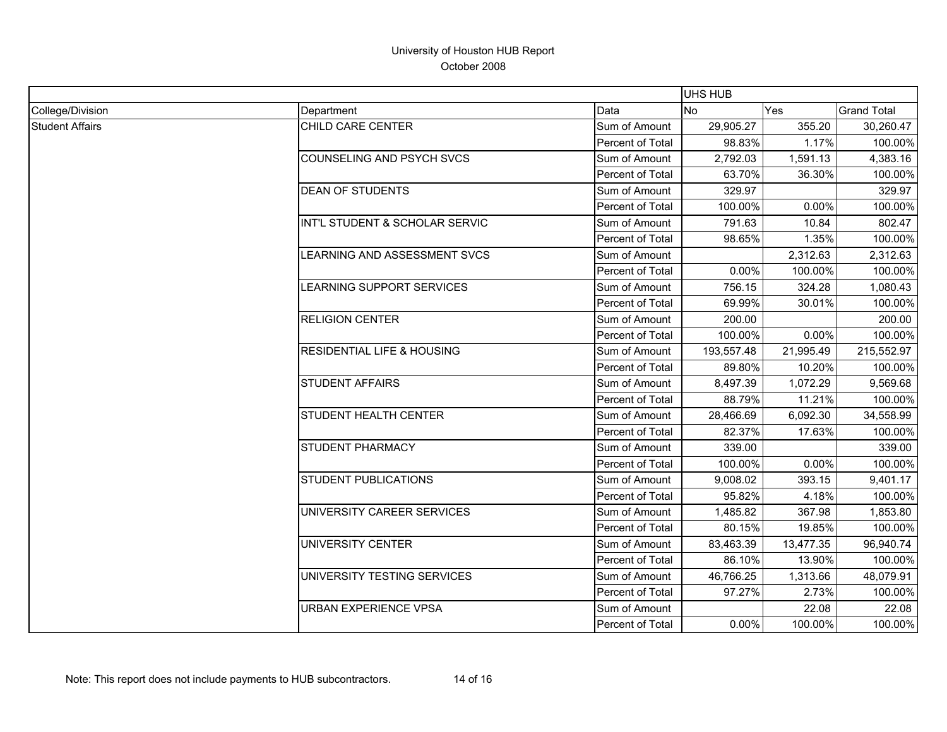|                        |                                       |                  |                | <b>UHS HUB</b> |                    |  |  |
|------------------------|---------------------------------------|------------------|----------------|----------------|--------------------|--|--|
| College/Division       | Department                            | Data             | N <sub>o</sub> | <b>Yes</b>     | <b>Grand Total</b> |  |  |
| <b>Student Affairs</b> | CHILD CARE CENTER                     | Sum of Amount    | 29,905.27      | 355.20         | 30,260.47          |  |  |
|                        |                                       | Percent of Total | 98.83%         | 1.17%          | 100.00%            |  |  |
|                        | COUNSELING AND PSYCH SVCS             | Sum of Amount    | 2,792.03       | 1,591.13       | 4,383.16           |  |  |
|                        |                                       | Percent of Total | 63.70%         | 36.30%         | 100.00%            |  |  |
|                        | <b>DEAN OF STUDENTS</b>               | Sum of Amount    | 329.97         |                | 329.97             |  |  |
|                        |                                       | Percent of Total | 100.00%        | 0.00%          | 100.00%            |  |  |
|                        | INT'L STUDENT & SCHOLAR SERVIC        | Sum of Amount    | 791.63         | 10.84          | 802.47             |  |  |
|                        |                                       | Percent of Total | 98.65%         | 1.35%          | 100.00%            |  |  |
|                        | LEARNING AND ASSESSMENT SVCS          | Sum of Amount    |                | 2,312.63       | 2,312.63           |  |  |
|                        |                                       | Percent of Total | 0.00%          | 100.00%        | 100.00%            |  |  |
|                        | LEARNING SUPPORT SERVICES             | Sum of Amount    | 756.15         | 324.28         | 1,080.43           |  |  |
|                        |                                       | Percent of Total | 69.99%         | 30.01%         | 100.00%            |  |  |
|                        | <b>RELIGION CENTER</b>                | Sum of Amount    | 200.00         |                | 200.00             |  |  |
|                        |                                       | Percent of Total | 100.00%        | 0.00%          | 100.00%            |  |  |
|                        | <b>RESIDENTIAL LIFE &amp; HOUSING</b> | Sum of Amount    | 193,557.48     | 21,995.49      | 215,552.97         |  |  |
|                        |                                       | Percent of Total | 89.80%         | 10.20%         | 100.00%            |  |  |
|                        | <b>STUDENT AFFAIRS</b>                | Sum of Amount    | 8,497.39       | 1,072.29       | 9,569.68           |  |  |
|                        |                                       | Percent of Total | 88.79%         | 11.21%         | 100.00%            |  |  |
|                        | STUDENT HEALTH CENTER                 | Sum of Amount    | 28,466.69      | 6,092.30       | 34,558.99          |  |  |
|                        |                                       | Percent of Total | 82.37%         | 17.63%         | 100.00%            |  |  |
|                        | STUDENT PHARMACY                      | Sum of Amount    | 339.00         |                | 339.00             |  |  |
|                        |                                       | Percent of Total | 100.00%        | 0.00%          | 100.00%            |  |  |
|                        | STUDENT PUBLICATIONS                  | Sum of Amount    | 9,008.02       | 393.15         | 9,401.17           |  |  |
|                        |                                       | Percent of Total | 95.82%         | 4.18%          | 100.00%            |  |  |
|                        | UNIVERSITY CAREER SERVICES            | Sum of Amount    | 1,485.82       | 367.98         | 1,853.80           |  |  |
|                        |                                       | Percent of Total | 80.15%         | 19.85%         | 100.00%            |  |  |
|                        | UNIVERSITY CENTER                     | Sum of Amount    | 83,463.39      | 13,477.35      | 96,940.74          |  |  |
|                        |                                       | Percent of Total | 86.10%         | 13.90%         | 100.00%            |  |  |
|                        | UNIVERSITY TESTING SERVICES           | Sum of Amount    | 46,766.25      | 1,313.66       | 48,079.91          |  |  |
|                        |                                       | Percent of Total | 97.27%         | 2.73%          | 100.00%            |  |  |
|                        | <b>URBAN EXPERIENCE VPSA</b>          | Sum of Amount    |                | 22.08          | 22.08              |  |  |
|                        |                                       | Percent of Total | 0.00%          | 100.00%        | 100.00%            |  |  |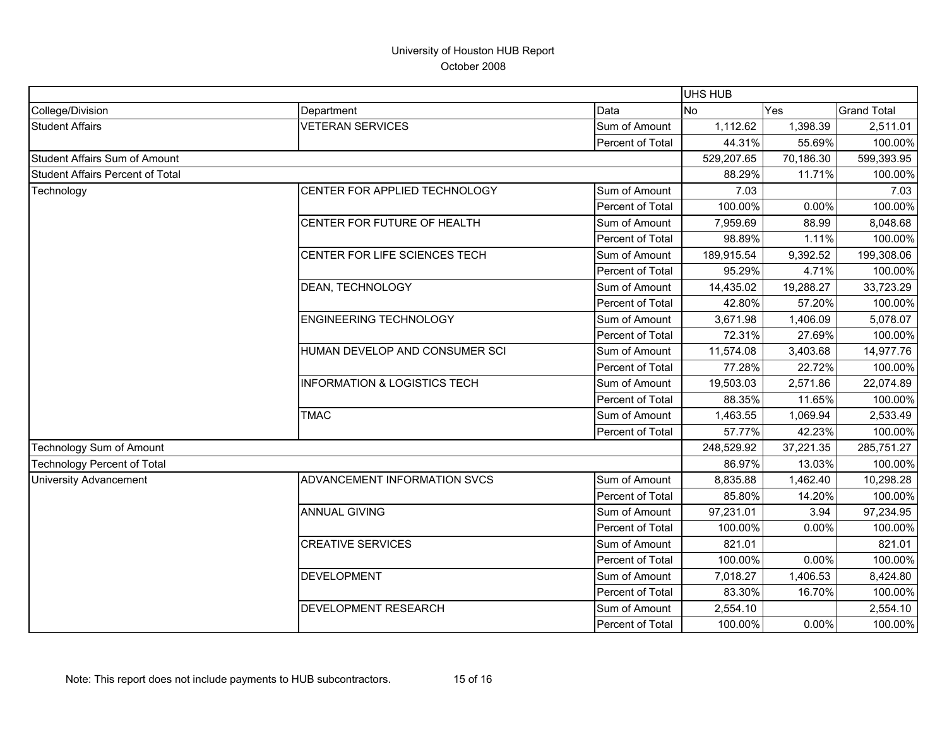|                                         |                                         |                  | <b>UHS HUB</b> |           |                    |
|-----------------------------------------|-----------------------------------------|------------------|----------------|-----------|--------------------|
| College/Division                        | Department                              | Data             | No<br>Yes      |           | <b>Grand Total</b> |
| <b>Student Affairs</b>                  | <b>VETERAN SERVICES</b>                 | Sum of Amount    | 1,112.62       | 1,398.39  | 2,511.01           |
|                                         |                                         | Percent of Total | 44.31%         | 55.69%    | 100.00%            |
| Student Affairs Sum of Amount           |                                         |                  | 529,207.65     | 70,186.30 | 599,393.95         |
| <b>Student Affairs Percent of Total</b> |                                         |                  | 88.29%         | 11.71%    | 100.00%            |
| Technology                              | CENTER FOR APPLIED TECHNOLOGY           | Sum of Amount    | 7.03           |           | 7.03               |
|                                         |                                         | Percent of Total | 100.00%        | 0.00%     | 100.00%            |
|                                         | CENTER FOR FUTURE OF HEALTH             | Sum of Amount    | 7,959.69       | 88.99     | 8,048.68           |
|                                         |                                         | Percent of Total | 98.89%         | 1.11%     | 100.00%            |
|                                         | CENTER FOR LIFE SCIENCES TECH           | Sum of Amount    | 189,915.54     | 9,392.52  | 199,308.06         |
|                                         |                                         | Percent of Total | 95.29%         | 4.71%     | 100.00%            |
|                                         | DEAN, TECHNOLOGY                        | Sum of Amount    | 14,435.02      | 19,288.27 | 33,723.29          |
|                                         |                                         | Percent of Total | 42.80%         | 57.20%    | 100.00%            |
|                                         | <b>ENGINEERING TECHNOLOGY</b>           | Sum of Amount    | 3,671.98       | 1,406.09  | 5,078.07           |
|                                         |                                         | Percent of Total | 72.31%         | 27.69%    | 100.00%            |
|                                         | HUMAN DEVELOP AND CONSUMER SCI          | Sum of Amount    | 11,574.08      | 3,403.68  | 14,977.76          |
|                                         |                                         | Percent of Total | 77.28%         | 22.72%    | 100.00%            |
|                                         | <b>INFORMATION &amp; LOGISTICS TECH</b> | Sum of Amount    | 19,503.03      | 2,571.86  | 22,074.89          |
|                                         |                                         | Percent of Total | 88.35%         | 11.65%    | 100.00%            |
|                                         | <b>TMAC</b>                             | Sum of Amount    | 1,463.55       | 1,069.94  | 2,533.49           |
|                                         |                                         | Percent of Total | 57.77%         | 42.23%    | 100.00%            |
| Technology Sum of Amount                |                                         |                  | 248,529.92     | 37,221.35 | 285,751.27         |
| Technology Percent of Total             |                                         |                  | 86.97%         | 13.03%    | 100.00%            |
| <b>University Advancement</b>           | ADVANCEMENT INFORMATION SVCS            | Sum of Amount    | 8,835.88       | 1,462.40  | 10,298.28          |
|                                         |                                         | Percent of Total | 85.80%         | 14.20%    | 100.00%            |
|                                         | <b>ANNUAL GIVING</b>                    | Sum of Amount    | 97,231.01      | 3.94      | 97,234.95          |
|                                         |                                         | Percent of Total | 100.00%        | 0.00%     | 100.00%            |
|                                         | <b>CREATIVE SERVICES</b>                | Sum of Amount    | 821.01         |           | 821.01             |
|                                         |                                         | Percent of Total | 100.00%        | 0.00%     | 100.00%            |
|                                         | <b>DEVELOPMENT</b>                      | Sum of Amount    | 7,018.27       | 1,406.53  | 8,424.80           |
|                                         |                                         | Percent of Total | 83.30%         | 16.70%    | 100.00%            |
|                                         | <b>DEVELOPMENT RESEARCH</b>             | Sum of Amount    | 2,554.10       |           | 2,554.10           |
|                                         |                                         | Percent of Total | 100.00%        | 0.00%     | 100.00%            |